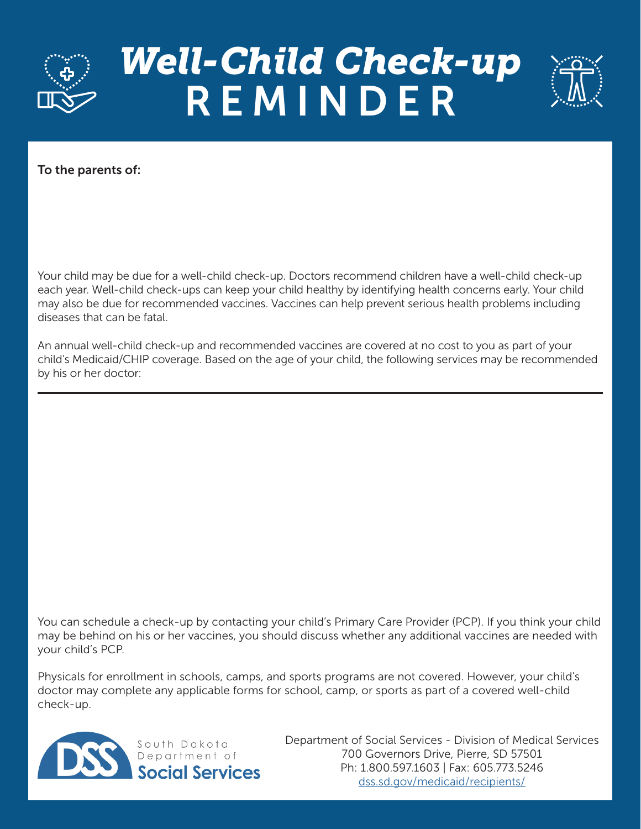

## *Well-Child Check-up*  REMINDER



To the parents of:

Your child may be due for a well-child check-up. Doctors recommend children have a well-child check-up each year. Well-child check-ups can keep your child healthy by identifying health concerns early. Your child may also be due for recommended vaccines. Vaccines can help prevent serious health problems including diseases that can be fatal.

An annual well-child check-up and recommended vaccines are covered at no cost to you as part of your child's Medicaid/CHIP coverage. Based on the age of your child, the following services may be recommended by his or her doctor:

You can schedule a check-up by contacting your child's Primary Care Provider (PCP). If you think your child may be behind on his or her vaccines, you should discuss whether any additional vaccines are needed with your child's PCP.

Physicals for enrollment in schools, camps, and sports programs are not covered. However, your child's doctor may complete any applicable forms for school, camp, or sports as part of a covered well-child check-up.



Department of Social Services - Division of Medical Services 700 Governors Drive, Pierre, SD 57501 Ph: 1.800.597.1603 | Fax: 605.773.5246 [dss.sd.gov/medicaid/recipients/](https://dss.sd.gov/medicaid/recipients/)